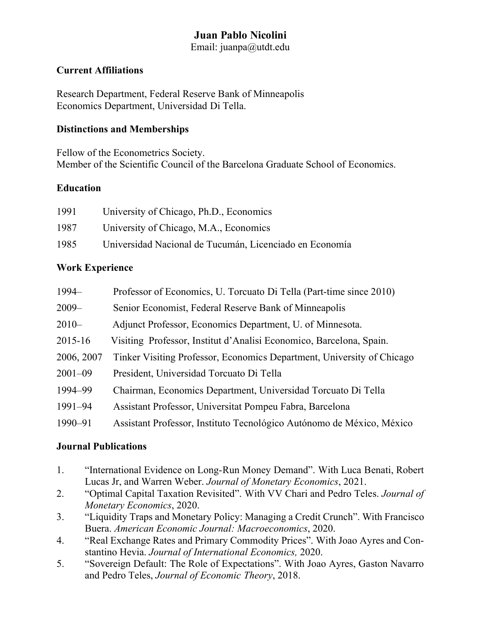# **Juan Pablo Nicolini**

Email: juanpa@utdt.edu

#### **Current Affiliations**

Research Department, Federal Reserve Bank of Minneapolis Economics Department, Universidad Di Tella.

### **Distinctions and Memberships**

Fellow of the Econometrics Society. Member of the Scientific Council of the Barcelona Graduate School of Economics.

## **Education**

| 1991 | University of Chicago, Ph.D., Economics                 |
|------|---------------------------------------------------------|
| 1987 | University of Chicago, M.A., Economics                  |
| 1985 | Universidad Nacional de Tucumán, Licenciado en Economía |

## **Work Experience**

| $1994-$     | Professor of Economics, U. Torcuato Di Tella (Part-time since 2010)    |
|-------------|------------------------------------------------------------------------|
| $2009 -$    | Senior Economist, Federal Reserve Bank of Minneapolis                  |
| $2010-$     | Adjunct Professor, Economics Department, U. of Minnesota.              |
| 2015-16     | Visiting Professor, Institut d'Analisi Economico, Barcelona, Spain.    |
| 2006, 2007  | Tinker Visiting Professor, Economics Department, University of Chicago |
| $2001 - 09$ | President, Universidad Torcuato Di Tella                               |
| 1994-99     | Chairman, Economics Department, Universidad Torcuato Di Tella          |
| 1991-94     | Assistant Professor, Universitat Pompeu Fabra, Barcelona               |
| 1990-91     | Assistant Professor, Instituto Tecnológico Autónomo de México, México  |

#### **Journal Publications**

- 1. "International Evidence on Long-Run Money Demand". With Luca Benati, Robert Lucas Jr, and Warren Weber. *Journal of Monetary Economics*, 2021.
- 2. "Optimal Capital Taxation Revisited". With VV Chari and Pedro Teles. *Journal of Monetary Economics*, 2020.
- 3. "Liquidity Traps and Monetary Policy: Managing a Credit Crunch". With Francisco Buera. *American Economic Journal: Macroeconomics*, 2020.
- 4. "Real Exchange Rates and Primary Commodity Prices". With Joao Ayres and Constantino Hevia. *Journal of International Economics,* 2020.
- 5. "Sovereign Default: The Role of Expectations". With Joao Ayres, Gaston Navarro and Pedro Teles, *Journal of Economic Theory*, 2018.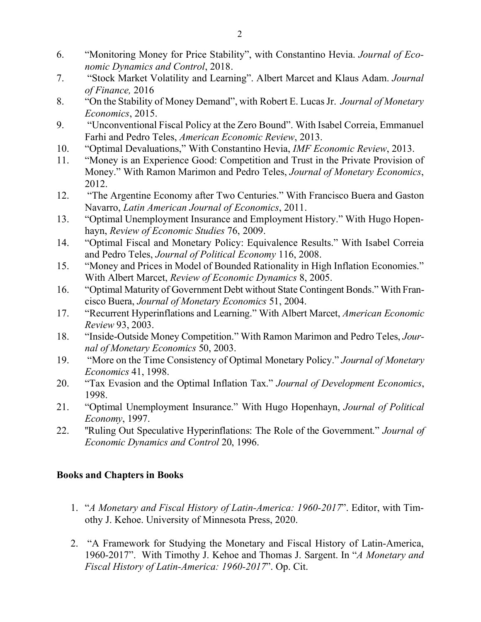- 6. "Monitoring Money for Price Stability", with Constantino Hevia. *Journal of Economic Dynamics and Control*, 2018.
- 7. "Stock Market Volatility and Learning". Albert Marcet and Klaus Adam. *Journal of Finance,* 2016
- 8. "On the Stability of Money Demand", with Robert E. Lucas Jr. *Journal of Monetary Economics*, 2015.
- 9. "Unconventional Fiscal Policy at the Zero Bound". With Isabel Correia, Emmanuel Farhi and Pedro Teles, *American Economic Review*, 2013.
- 10. "Optimal Devaluations," With Constantino Hevia, *IMF Economic Review*, 2013.
- 11. "Money is an Experience Good: Competition and Trust in the Private Provision of Money." With Ramon Marimon and Pedro Teles, *Journal of Monetary Economics*, 2012.
- 12. ["The Argentine Economy after Two Centuries.](http://ideas.repec.org/a/ioe/cuadec/v48y2011i2p133-156.html)" With Francisco Buera and Gaston Navarro, *Latin American Journal of Economics*, 2011.
- 13. "Optimal Unemployment Insurance and Employment History." With Hugo Hopenhayn, *Review of Economic Studies* 76, 2009.
- 14. "Optimal Fiscal and Monetary Policy: Equivalence Results." With Isabel Correia and Pedro Teles, *Journal of Political Economy* 116, 2008.
- 15. "Money and Prices in Model of Bounded Rationality in High Inflation Economies." With Albert Marcet, *Review of Economic Dynamics* 8, 2005.
- 16. "Optimal Maturity of Government Debt without State Contingent Bonds." With Francisco Buera, *Journal of Monetary Economics* 51, 2004.
- 17. "Recurrent Hyperinflations and Learning." With Albert Marcet, *American Economic Review* 93, 2003.
- 18. "Inside-Outside Money Competition." With Ramon Marimon and Pedro Teles, *Journal of Monetary Economics* 50, 2003.
- 19. "More on the Time Consistency of Optimal Monetary Policy." *Journal of Monetary Economics* 41, 1998.
- 20. "Tax Evasion and the Optimal Inflation Tax." *Journal of Development Economics*, 1998.
- 21. "Optimal Unemployment Insurance." With Hugo Hopenhayn, *Journal of Political Economy*, 1997.
- 22. ''Ruling Out Speculative Hyperinflations: The Role of the Government." *Journal of Economic Dynamics and Control* 20, 1996.

## **Books and Chapters in Books**

- 1. "*A Monetary and Fiscal History of Latin-America: 1960-2017*". Editor, with Timothy J. Kehoe. University of Minnesota Press, 2020.
- 2. "A Framework for Studying the Monetary and Fiscal History of Latin-America, 1960-2017". With Timothy J. Kehoe and Thomas J. Sargent. In "*A Monetary and Fiscal History of Latin-America: 1960-2017*". Op. Cit.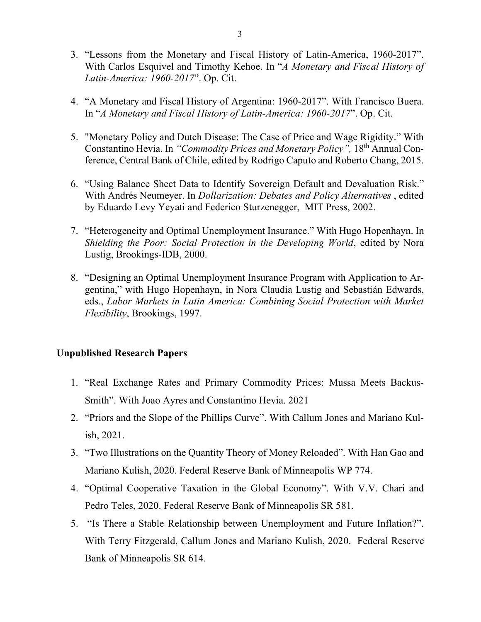- 3. "Lessons from the Monetary and Fiscal History of Latin-America, 1960-2017". With Carlos Esquivel and Timothy Kehoe. In "*A Monetary and Fiscal History of Latin-America: 1960-2017*". Op. Cit.
- 4. "A Monetary and Fiscal History of Argentina: 1960-2017". With Francisco Buera. In "*A Monetary and Fiscal History of Latin-America: 1960-2017*". Op. Cit.
- 5. "Monetary Policy and Dutch Disease: The Case of Price and Wage Rigidity." With Constantino Hevia. In *"Commodity Prices and Monetary Policy",* 18th Annual Conference, Central Bank of Chile, edited by Rodrigo Caputo and Roberto Chang, 2015.
- 6. "Using Balance Sheet Data to Identify Sovereign Default and Devaluation Risk." With Andrés Neumeyer. In *Dollarization: Debates and Policy Alternatives* , edited by Eduardo Levy Yeyati and Federico Sturzenegger, MIT Press, 2002.
- 7. "Heterogeneity and Optimal Unemployment Insurance." With Hugo Hopenhayn. In *Shielding the Poor: Social Protection in the Developing World*, edited by Nora Lustig, Brookings-IDB, 2000.
- 8. "Designing an Optimal Unemployment Insurance Program with Application to Argentina," with Hugo Hopenhayn, in Nora Claudia Lustig and Sebastián Edwards, eds., *Labor Markets in Latin America: Combining Social Protection with Market Flexibility*, Brookings, 1997.

#### **Unpublished Research Papers**

- 1. "Real Exchange Rates and Primary Commodity Prices: Mussa Meets Backus-Smith". With Joao Ayres and Constantino Hevia. 2021
- 2. "Priors and the Slope of the Phillips Curve". With Callum Jones and Mariano Kulish, 2021.
- 3. "Two Illustrations on the Quantity Theory of Money Reloaded". With Han Gao and Mariano Kulish, 2020. Federal Reserve Bank of Minneapolis WP 774.
- 4. "Optimal Cooperative Taxation in the Global Economy". With V.V. Chari and Pedro Teles, 2020. Federal Reserve Bank of Minneapolis SR 581.
- 5. "Is There a Stable Relationship between Unemployment and Future Inflation?". With Terry Fitzgerald, Callum Jones and Mariano Kulish, 2020. Federal Reserve Bank of Minneapolis SR 614.